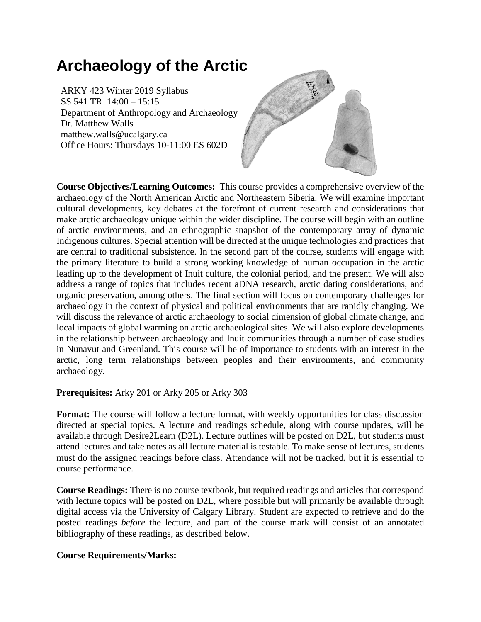# **Archaeology of the Arctic**

ARKY 423 Winter 2019 Syllabus SS 541 TR 14:00 – 15:15 Department of Anthropology and Archaeology Dr. Matthew Walls matthew.walls@ucalgary.ca Office Hours: Thursdays 10-11:00 ES 602D



**Course Objectives/Learning Outcomes:** This course provides a comprehensive overview of the archaeology of the North American Arctic and Northeastern Siberia. We will examine important cultural developments, key debates at the forefront of current research and considerations that make arctic archaeology unique within the wider discipline. The course will begin with an outline of arctic environments, and an ethnographic snapshot of the contemporary array of dynamic Indigenous cultures. Special attention will be directed at the unique technologies and practices that are central to traditional subsistence. In the second part of the course, students will engage with the primary literature to build a strong working knowledge of human occupation in the arctic leading up to the development of Inuit culture, the colonial period, and the present. We will also address a range of topics that includes recent aDNA research, arctic dating considerations, and organic preservation, among others. The final section will focus on contemporary challenges for archaeology in the context of physical and political environments that are rapidly changing. We will discuss the relevance of arctic archaeology to social dimension of global climate change, and local impacts of global warming on arctic archaeological sites. We will also explore developments in the relationship between archaeology and Inuit communities through a number of case studies in Nunavut and Greenland. This course will be of importance to students with an interest in the arctic, long term relationships between peoples and their environments, and community archaeology.

### **Prerequisites:** Arky 201 or Arky 205 or Arky 303

**Format:** The course will follow a lecture format, with weekly opportunities for class discussion directed at special topics. A lecture and readings schedule, along with course updates, will be available through Desire2Learn (D2L). Lecture outlines will be posted on D2L, but students must attend lectures and take notes as all lecture material is testable. To make sense of lectures, students must do the assigned readings before class. Attendance will not be tracked, but it is essential to course performance.

**Course Readings:** There is no course textbook, but required readings and articles that correspond with lecture topics will be posted on D2L, where possible but will primarily be available through digital access via the University of Calgary Library. Student are expected to retrieve and do the posted readings *before* the lecture, and part of the course mark will consist of an annotated bibliography of these readings, as described below.

### **Course Requirements/Marks:**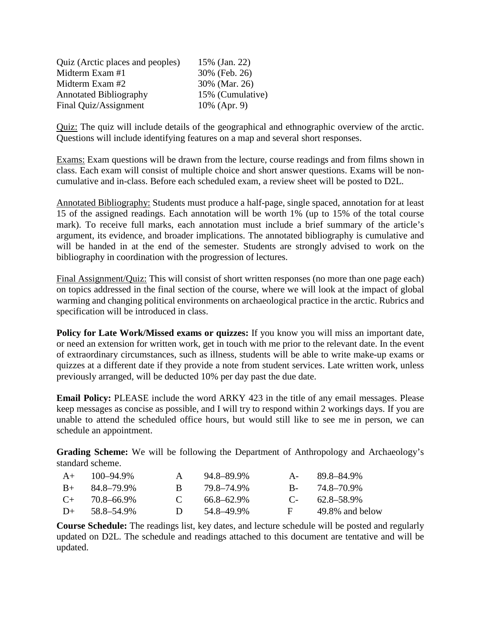| Quiz (Arctic places and peoples) | 15% (Jan. 22)    |
|----------------------------------|------------------|
| Midterm Exam #1                  | 30% (Feb. 26)    |
| Midterm Exam #2                  | 30% (Mar. 26)    |
| <b>Annotated Bibliography</b>    | 15% (Cumulative) |
| Final Quiz/Assignment            | 10% (Apr. 9)     |

Quiz: The quiz will include details of the geographical and ethnographic overview of the arctic. Questions will include identifying features on a map and several short responses.

Exams: Exam questions will be drawn from the lecture, course readings and from films shown in class. Each exam will consist of multiple choice and short answer questions. Exams will be noncumulative and in-class. Before each scheduled exam, a review sheet will be posted to D2L.

Annotated Bibliography: Students must produce a half-page, single spaced, annotation for at least 15 of the assigned readings. Each annotation will be worth 1% (up to 15% of the total course mark). To receive full marks, each annotation must include a brief summary of the article's argument, its evidence, and broader implications. The annotated bibliography is cumulative and will be handed in at the end of the semester. Students are strongly advised to work on the bibliography in coordination with the progression of lectures.

Final Assignment/Quiz: This will consist of short written responses (no more than one page each) on topics addressed in the final section of the course, where we will look at the impact of global warming and changing political environments on archaeological practice in the arctic. Rubrics and specification will be introduced in class.

Policy for Late Work/Missed exams or quizzes: If you know you will miss an important date, or need an extension for written work, get in touch with me prior to the relevant date. In the event of extraordinary circumstances, such as illness, students will be able to write make-up exams or quizzes at a different date if they provide a note from student services. Late written work, unless previously arranged, will be deducted 10% per day past the due date.

**Email Policy:** PLEASE include the word ARKY 423 in the title of any email messages. Please keep messages as concise as possible, and I will try to respond within 2 workings days. If you are unable to attend the scheduled office hours, but would still like to see me in person, we can schedule an appointment.

**Grading Scheme:** We will be following the Department of Anthropology and Archaeology's standard scheme.

| $A+$  | 100-94.9%  | $\mathbf{A}$ | 94.8–89.9%      | A-      | 89.8–84.9%      |
|-------|------------|--------------|-----------------|---------|-----------------|
| $B+$  | 84.8–79.9% | R.           | 79.8–74.9%      | $B_{-}$ | 74.8–70.9%      |
| $($ + | 70.8–66.9% | $\mathbf{C}$ | $66.8 - 62.9\%$ | $C_{-}$ | 62.8–58.9%      |
| $D+$  | 58.8–54.9% | $\mathbf{D}$ | 54.8–49.9%      | F 1     | 49.8% and below |

**Course Schedule:** The readings list, key dates, and lecture schedule will be posted and regularly updated on D2L. The schedule and readings attached to this document are tentative and will be updated.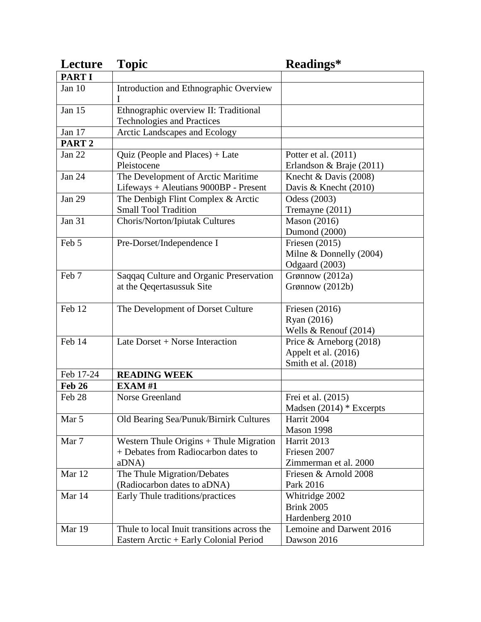| Lecture           | <b>Topic</b>                                                                            | Readings*                                                                |
|-------------------|-----------------------------------------------------------------------------------------|--------------------------------------------------------------------------|
| <b>PARTI</b>      |                                                                                         |                                                                          |
| Jan 10            | Introduction and Ethnographic Overview<br>T                                             |                                                                          |
| Jan 15            | Ethnographic overview II: Traditional<br><b>Technologies and Practices</b>              |                                                                          |
| Jan 17            | <b>Arctic Landscapes and Ecology</b>                                                    |                                                                          |
| PART <sub>2</sub> |                                                                                         |                                                                          |
| Jan $22$          | Quiz (People and Places) + Late<br>Pleistocene                                          | Potter et al. (2011)<br>Erlandson & Braje (2011)                         |
| <b>Jan 24</b>     | The Development of Arctic Maritime<br>Lifeways + Aleutians 9000BP - Present             | Knecht & Davis $(2008)$<br>Davis & Knecht (2010)                         |
| <b>Jan 29</b>     | The Denbigh Flint Complex & Arctic<br><b>Small Tool Tradition</b>                       | Odess (2003)<br>Tremayne (2011)                                          |
| Jan 31            | Choris/Norton/Ipiutak Cultures                                                          | <b>Mason</b> (2016)<br>Dumond (2000)                                     |
| Feb 5             | Pre-Dorset/Independence I                                                               | Friesen $(2015)$<br>Milne & Donnelly $(2004)$<br>Odgaard (2003)          |
| Feb 7             | Saqqaq Culture and Organic Preservation<br>at the Qeqertasussuk Site                    | Grønnow (2012a)<br>Grønnow (2012b)                                       |
| Feb 12            | The Development of Dorset Culture                                                       | Friesen $(2016)$<br>Ryan (2016)<br>Wells & Renouf $(2014)$               |
| Feb 14            | Late Dorset + Norse Interaction                                                         | Price & Arneborg $(2018)$<br>Appelt et al. (2016)<br>Smith et al. (2018) |
| Feb 17-24         | <b>READING WEEK</b>                                                                     |                                                                          |
| <b>Feb 26</b>     | EXAM#1                                                                                  |                                                                          |
| Feb 28            | Norse Greenland                                                                         | Frei et al. (2015)<br>Madsen $(2014)$ * Excerpts                         |
| Mar 5             | Old Bearing Sea/Punuk/Birnirk Cultures                                                  | Harrit 2004<br>Mason 1998                                                |
| Mar 7             | Western Thule Origins + Thule Migration<br>+ Debates from Radiocarbon dates to<br>aDNA) | Harrit 2013<br>Friesen 2007<br>Zimmerman et al. 2000                     |
| Mar 12            | The Thule Migration/Debates<br>(Radiocarbon dates to aDNA)                              | Friesen & Arnold 2008<br>Park 2016                                       |
| Mar 14            | Early Thule traditions/practices                                                        | Whitridge 2002<br><b>Brink 2005</b><br>Hardenberg 2010                   |
| Mar 19            | Thule to local Inuit transitions across the<br>Eastern Arctic + Early Colonial Period   | Lemoine and Darwent 2016<br>Dawson 2016                                  |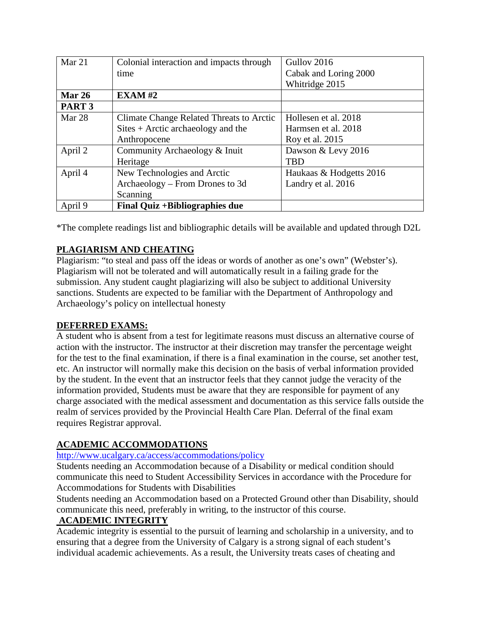| Mar 21            | Colonial interaction and impacts through           | Gullov 2016             |
|-------------------|----------------------------------------------------|-------------------------|
|                   | time                                               | Cabak and Loring 2000   |
|                   |                                                    | Whitridge 2015          |
| <b>Mar 26</b>     | $EXAMPLEXAM$ #2                                    |                         |
| PART <sub>3</sub> |                                                    |                         |
| Mar 28            | Climate Change Related Threats to Arctic           | Hollesen et al. 2018    |
|                   | $\text{Sites} + \text{Arctic archaeology}$ and the | Harmsen et al. 2018     |
|                   | Anthropocene                                       | Roy et al. 2015         |
| April 2           | Community Archaeology & Inuit                      | Dawson & Levy 2016      |
|                   | Heritage                                           | <b>TBD</b>              |
| April 4           | New Technologies and Arctic                        | Haukaas & Hodgetts 2016 |
|                   | Archaeology – From Drones to 3d                    | Landry et al. 2016      |
|                   | Scanning                                           |                         |
| April 9           | Final Quiz + Bibliographies due                    |                         |

\*The complete readings list and bibliographic details will be available and updated through D2L

## **PLAGIARISM AND CHEATING**

Plagiarism: "to steal and pass off the ideas or words of another as one's own" (Webster's). Plagiarism will not be tolerated and will automatically result in a failing grade for the submission. Any student caught plagiarizing will also be subject to additional University sanctions. Students are expected to be familiar with the Department of Anthropology and Archaeology's policy on intellectual honesty

### **DEFERRED EXAMS:**

A student who is absent from a test for legitimate reasons must discuss an alternative course of action with the instructor. The instructor at their discretion may transfer the percentage weight for the test to the final examination, if there is a final examination in the course, set another test, etc. An instructor will normally make this decision on the basis of verbal information provided by the student. In the event that an instructor feels that they cannot judge the veracity of the information provided, Students must be aware that they are responsible for payment of any charge associated with the medical assessment and documentation as this service falls outside the realm of services provided by the Provincial Health Care Plan. Deferral of the final exam requires Registrar approval.

### **ACADEMIC ACCOMMODATIONS**

### <http://www.ucalgary.ca/access/accommodations/policy>

Students needing an Accommodation because of a Disability or medical condition should communicate this need to Student Accessibility Services in accordance with the Procedure for Accommodations for Students with Disabilities

Students needing an Accommodation based on a Protected Ground other than Disability, should communicate this need, preferably in writing, to the instructor of this course.

### **ACADEMIC INTEGRITY**

Academic integrity is essential to the pursuit of learning and scholarship in a university, and to ensuring that a degree from the University of Calgary is a strong signal of each student's individual academic achievements. As a result, the University treats cases of cheating and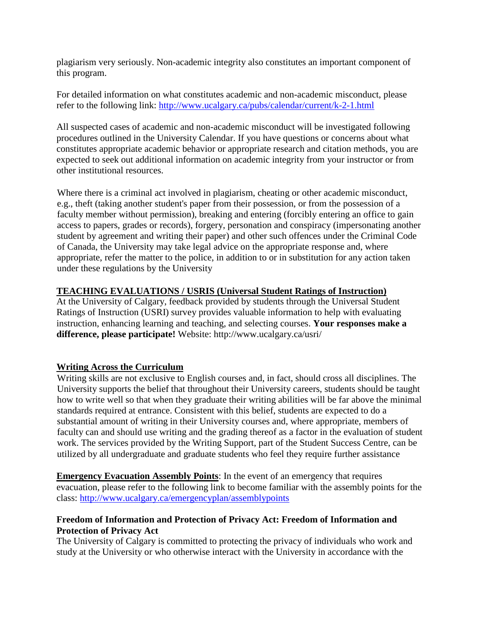plagiarism very seriously. Non-academic integrity also constitutes an important component of this program.

For detailed information on what constitutes academic and non-academic misconduct, please refer to the following link:<http://www.ucalgary.ca/pubs/calendar/current/k-2-1.html>

All suspected cases of academic and non-academic misconduct will be investigated following procedures outlined in the University Calendar. If you have questions or concerns about what constitutes appropriate academic behavior or appropriate research and citation methods, you are expected to seek out additional information on academic integrity from your instructor or from other institutional resources.

Where there is a criminal act involved in plagiarism, cheating or other academic misconduct, e.g., theft (taking another student's paper from their possession, or from the possession of a faculty member without permission), breaking and entering (forcibly entering an office to gain access to papers, grades or records), forgery, personation and conspiracy (impersonating another student by agreement and writing their paper) and other such offences under the Criminal Code of Canada, the University may take legal advice on the appropriate response and, where appropriate, refer the matter to the police, in addition to or in substitution for any action taken under these regulations by the University

### **TEACHING EVALUATIONS / USRIS (Universal Student Ratings of Instruction)**

At the University of Calgary, feedback provided by students through the Universal Student Ratings of Instruction (USRI) survey provides valuable information to help with evaluating instruction, enhancing learning and teaching, and selecting courses. **Your responses make a difference, please participate!** Website: http://www.ucalgary.ca/usri/

### **Writing Across the Curriculum**

Writing skills are not exclusive to English courses and, in fact, should cross all disciplines. The University supports the belief that throughout their University careers, students should be taught how to write well so that when they graduate their writing abilities will be far above the minimal standards required at entrance. Consistent with this belief, students are expected to do a substantial amount of writing in their University courses and, where appropriate, members of faculty can and should use writing and the grading thereof as a factor in the evaluation of student work. The services provided by the Writing Support, part of the Student Success Centre, can be utilized by all undergraduate and graduate students who feel they require further assistance

**Emergency Evacuation Assembly Points:** In the event of an emergency that requires evacuation, please refer to the following link to become familiar with the assembly points for the class:<http://www.ucalgary.ca/emergencyplan/assemblypoints>

## **Freedom of Information and Protection of Privacy Act: Freedom of Information and Protection of Privacy Act**

The University of Calgary is committed to protecting the privacy of individuals who work and study at the University or who otherwise interact with the University in accordance with the